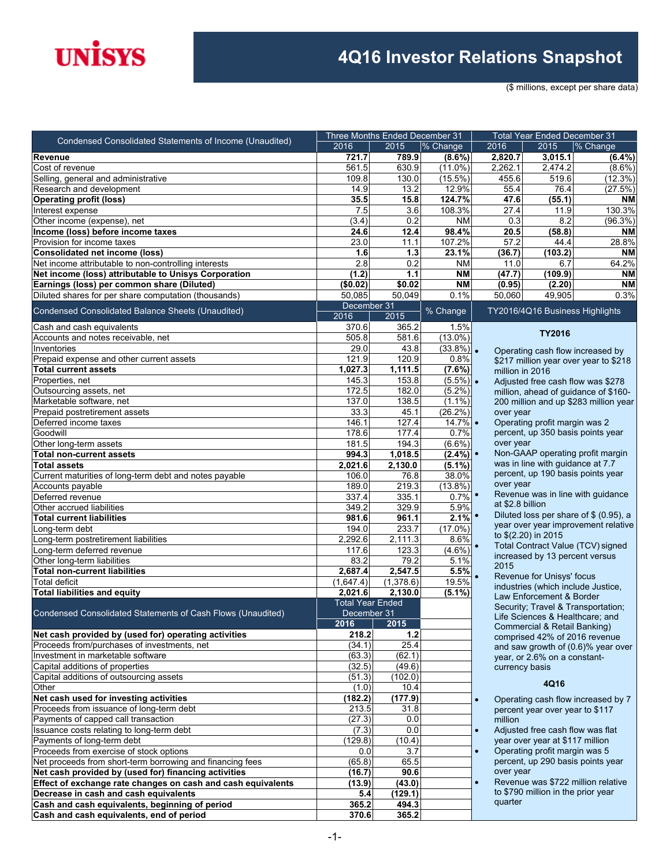# **UNISYS**

(\$ millions, except per share data)

|                                                               | Three Months Ended December 31 |                  |                         | <b>Total Year Ended December 31</b> |                                    |                                          |
|---------------------------------------------------------------|--------------------------------|------------------|-------------------------|-------------------------------------|------------------------------------|------------------------------------------|
| Condensed Consolidated Statements of Income (Unaudited)       | 2016                           | 2015             | % Change                | 2016                                | 2015                               | % Change                                 |
| Revenue                                                       | 721.7                          | 789.9            | $(8.6\%)$               | 2,820.7                             | 3,015.1                            | $(6.4\%)$                                |
| Cost of revenue                                               | 561.5                          | 630.9            | $(11.0\%)$              | 2,262.1                             | 2,474.2                            | $(8.6\%)$                                |
| Selling, general and administrative                           | 109.8                          | 130.0            | $(15.5\%)$              | 455.6                               | 519.6                              | (12.3%)                                  |
| Research and development                                      | 14.9                           | 13.2             | 12.9%                   | 55.4                                | 76.4                               | (27.5%)                                  |
| <b>Operating profit (loss)</b>                                | 35.5                           | 15.8             | 124.7%                  | 47.6                                | (55.1)                             | NΜ                                       |
| Interest expense                                              | 7.5                            | 3.6              | 108.3%                  | 27.4                                | 11.9                               | 130.3%                                   |
| Other income (expense), net                                   | (3.4)                          | 0.2              | <b>NM</b>               | 0.3                                 | 8.2                                | $(96.3\%)$                               |
| Income (loss) before income taxes                             | 24.6                           | 12.4             | 98.4%                   | 20.5                                | (58.8)                             | <b>NM</b>                                |
| Provision for income taxes                                    | 23.0                           | 11.1             | 107.2%                  | 57.2                                | 44.4                               | 28.8%                                    |
| <b>Consolidated net income (loss)</b>                         | 1.6                            | 1.3              | 23.1%                   | (36.7)                              | (103.2)                            | <b>NM</b>                                |
| Net income attributable to non-controlling interests          | 2.8                            | 0.2              | <b>NM</b>               | 11.0                                | 6.7                                | 64.2%                                    |
| Net income (loss) attributable to Unisys Corporation          | (1.2)                          | $\overline{1.1}$ | <b>NM</b>               | (47.7)                              | (109.9)                            | <b>NM</b>                                |
| Earnings (loss) per common share (Diluted)                    | (\$0.02)                       | \$0.02           | <b>NM</b>               | (0.95)                              | (2.20)                             | <b>NM</b>                                |
| Diluted shares for per share computation (thousands)          | 50,085                         | 50,049           | 0.1%                    | 50,060                              | 49,905                             | 0.3%                                     |
| Condensed Consolidated Balance Sheets (Unaudited)             | December 31<br>2016            | $\frac{2015}{ }$ | % Change                |                                     | TY2016/4Q16 Business Highlights    |                                          |
| Cash and cash equivalents                                     | 370.6                          | 365.2            | 1.5%                    |                                     |                                    |                                          |
| Accounts and notes receivable, net                            | 505.8                          | 581.6            | $(13.0\%)$              |                                     | <b>TY2016</b>                      |                                          |
| Inventories                                                   | 29.0                           | 43.8             | $(33.8\%)$ .            |                                     |                                    | Operating cash flow increased by         |
| Prepaid expense and other current assets                      | 121.9                          | 120.9            | 0.8%                    |                                     |                                    | \$217 million year over year to \$218    |
| <b>Total current assets</b>                                   | 1,027.3                        | 1,111.5          | (7.6%)                  |                                     | million in 2016                    |                                          |
| Properties, net                                               | 145.3                          | 153.8            | $(5.5\%)$ .             |                                     |                                    | Adjusted free cash flow was \$278        |
| Outsourcing assets, net                                       | 172.5                          | 182.0            | $(5.2\%)$               |                                     |                                    | million, ahead of guidance of \$160-     |
| Marketable software, net                                      | 137.0                          | 138.5            | $(1.1\%)$               |                                     |                                    | 200 million and up \$283 million year    |
| Prepaid postretirement assets                                 | 33.3                           | 45.1             | (26.2%)                 | over year                           |                                    |                                          |
| Deferred income taxes                                         | 146.1                          | 127.4            | $14.7\%$ $\bullet$      |                                     | Operating profit margin was 2      |                                          |
| Goodwill                                                      | 178.6                          | 177.4            | 0.7%                    |                                     |                                    | percent, up 350 basis points year        |
| Other long-term assets                                        | 181.5                          | 194.3            | $(6.6\%)$               | over year                           |                                    |                                          |
| <b>Total non-current assets</b>                               | 994.3                          | 1,018.5          | $(2.4\%)$               |                                     |                                    | Non-GAAP operating profit margin         |
| <b>Total assets</b>                                           | 2,021.6                        | 2,130.0          | $(5.1\%)$               |                                     | was in line with guidance at 7.7   | percent, up 190 basis points year        |
| Current maturities of long-term debt and notes payable        | 106.0                          | 76.8             | 38.0%                   | over year                           |                                    |                                          |
| Accounts payable                                              | 189.0                          | 219.3            | $(13.8\%)$<br>$0.7\%$ • |                                     |                                    | Revenue was in line with guidance        |
| Deferred revenue                                              | 337.4                          | 335.1            |                         | at \$2.8 billion                    |                                    |                                          |
| Other accrued liabilities<br><b>Total current liabilities</b> | 349.2<br>981.6                 | 329.9<br>961.1   | 5.9%<br>$2.1\%$         |                                     |                                    | Diluted loss per share of \$ (0.95), a   |
| Long-term debt                                                | 194.0                          | 233.7            | $(17.0\%)$              |                                     |                                    | year over year improvement relative      |
| Long-term postretirement liabilities                          | 2,292.6                        | 2,111.3          | 8.6%                    |                                     | to \$(2.20) in 2015                |                                          |
| Long-term deferred revenue                                    | 117.6                          | 123.3            | $(4.6\%)$               |                                     |                                    | <b>Total Contract Value (TCV) signed</b> |
| Other long-term liabilities                                   | 83.2                           | 79.2             | 5.1%                    |                                     | increased by 13 percent versus     |                                          |
| <b>Total non-current liabilities</b>                          | 2,687.4                        | 2,547.5          | 5.5%                    | 2015                                |                                    |                                          |
| <b>Total deficit</b>                                          | (1,647.4)                      | (1,378.6)        | 19.5%                   |                                     | Revenue for Unisys' focus          |                                          |
| <b>Total liabilities and equity</b>                           | 2,021.6                        | 2,130.0          | $(5.1\%)$               |                                     | industries (which include Justice, |                                          |
|                                                               | <b>Total Year Ended</b>        |                  |                         |                                     | Law Enforcement & Border           |                                          |
| Condensed Consolidated Statements of Cash Flows (Unaudited)   | December 31                    |                  |                         |                                     | Life Sciences & Healthcare; and    | Security; Travel & Transportation;       |
|                                                               | 2016                           | 2015             |                         |                                     | Commercial & Retail Banking)       |                                          |
| Net cash provided by (used for) operating activities          | 218.2                          | $1.2$            |                         |                                     | comprised 42% of 2016 revenue      |                                          |
| Proceeds from/purchases of investments, net                   | (34.1)                         | 25.4             |                         |                                     |                                    | and saw growth of (0.6)% year over       |
| Investment in marketable software                             | (63.3)                         | (62.1)           |                         |                                     | year, or 2.6% on a constant-       |                                          |
| Capital additions of properties                               | (32.5)                         | (49.6)           |                         |                                     | currency basis                     |                                          |
| Capital additions of outsourcing assets                       | (51.3)                         | (102.0)          |                         |                                     |                                    |                                          |
| Other                                                         | (1.0)                          | 10.4             |                         |                                     | 4Q16                               |                                          |
| Net cash used for investing activities                        | (182.2)                        | (177.9)          |                         | $\bullet$                           |                                    | Operating cash flow increased by 7       |
| Proceeds from issuance of long-term debt                      | 213.5                          | 31.8             |                         |                                     | percent year over year to \$117    |                                          |
| Payments of capped call transaction                           | (27.3)                         | 0.0              |                         | million                             |                                    |                                          |
| Issuance costs relating to long-term debt                     | (7.3)                          | 0.0              |                         | $\bullet$                           | Adiusted free cash flow was flat   |                                          |
| Payments of long-term debt                                    | (129.8)                        | (10.4)           |                         |                                     | year over year at \$117 million    |                                          |
| Proceeds from exercise of stock options                       | $0.\overline{0}$               | 3.7              |                         | $\bullet$                           | Operating profit margin was 5      |                                          |
| Net proceeds from short-term borrowing and financing fees     | (65.8)                         | 65.5             |                         |                                     |                                    | percent, up 290 basis points year        |
| Net cash provided by (used for) financing activities          | (16.7)                         | 90.6             |                         | over year                           |                                    |                                          |
| Effect of exchange rate changes on cash and cash equivalents  | (13.9)                         | (43.0)           |                         | $\bullet$                           |                                    | Revenue was \$722 million relative       |
| Decrease in cash and cash equivalents                         | 5.4                            | (129.1)          |                         |                                     | to \$790 million in the prior year |                                          |
| Cash and cash equivalents, beginning of period                | 365.2                          | 494.3            |                         | quarter                             |                                    |                                          |
| Cash and cash equivalents, end of period                      | 370.6                          | 365.2            |                         |                                     |                                    |                                          |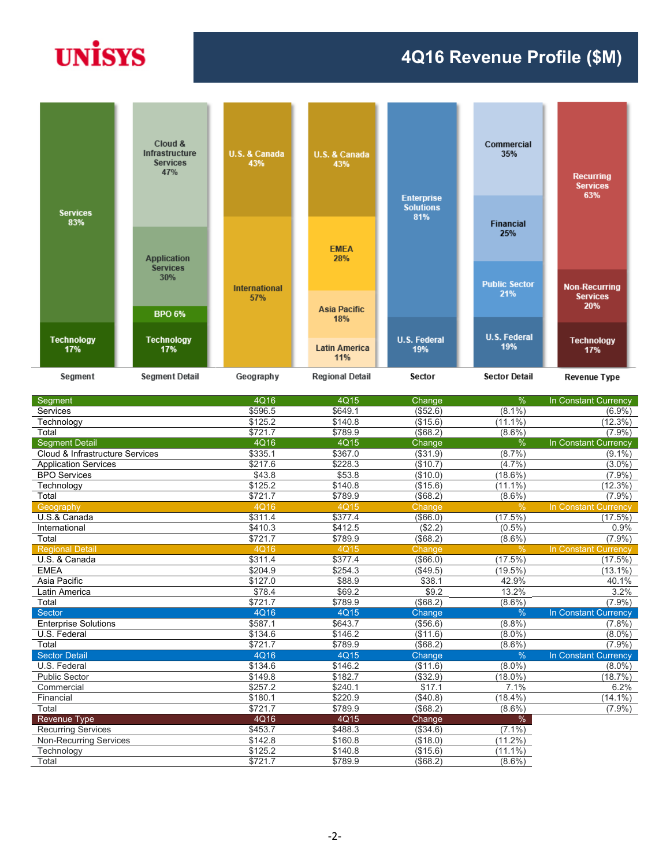## **UNISYS**

#### **4Q16 Revenue Profile (\$M)**



| Segment                         | 4Q16    | 4Q15    | Change        | $\frac{0}{0}$ | In Constant Currency        |
|---------------------------------|---------|---------|---------------|---------------|-----------------------------|
| Services                        | \$596.5 | \$649.1 | (\$52.6)      | $(8.1\%)$     | $(6.9\%)$                   |
| Technology                      | \$125.2 | \$140.8 | (\$15.6)      | (11.1%        | (12.3%)                     |
| Total                           | \$721.7 | \$789.9 | (\$68.2)      | $(8.6\%)$     | (7.9%)                      |
| <b>Seament Detail</b>           | 4Q16    | 4Q15    | Change        | $\frac{9}{6}$ | In Constant Currency        |
| Cloud & Infrastructure Services | \$335.1 | \$367.0 | (\$31.9)      | (8.7%         | $(9.1\%)$                   |
| <b>Application Services</b>     | \$217.6 | \$228.3 | (\$10.7)      | (4.7%         | $(3.0\%)$                   |
| <b>BPO Services</b>             | \$43.8  | \$53.8  | (\$10.0)      | $(18.6\%)$    | (7.9%                       |
| Technology                      | \$125.2 | \$140.8 | (\$15.6)      | $(11.1\%)$    | (12.3%)                     |
| Total                           | \$721.7 | \$789.9 | (\$68.2)      | $(8.6\%)$     | (7.9%                       |
| Geography                       | 4Q16    | 4Q15    | Change        | $\frac{0}{0}$ | <b>In Constant Currency</b> |
| U.S.& Canada                    | \$311.4 | \$377.4 | (\$66.0)      | (17.5%)       | (17.5%)                     |
| International                   | \$410.3 | \$412.5 | (\$2.2)       | $(0.5\%)$     | 0.9%                        |
| Total                           | \$721.7 | \$789.9 | (\$68.2)      | $(8.6\%)$     | (7.9%)                      |
| <b>Regional Detail</b>          | 4Q16    | 4Q15    | Change        | $\%$          | In Constant Currency        |
| U.S. & Canada                   | \$311.4 | \$377.4 | (\$66.0)      | (17.5%)       | (17.5%)                     |
| <b>EMEA</b>                     | \$204.9 | \$254.3 | (\$49.5)      | $(19.5\%)$    | $(13.1\%)$                  |
| Asia Pacific                    | \$127.0 | \$88.9  | \$38.1        | 42.9%         | 40.1%                       |
| Latin America                   | \$78.4  | \$69.2  | \$9.2         | 13.2%         | 3.2%                        |
| Total                           | \$721.7 | \$789.9 | (\$68.2)      | $(8.6\%)$     | (7.9%)                      |
| Sector                          | 4Q16    | 4Q15    | <b>Change</b> | $\frac{0}{0}$ | <b>In Constant Currency</b> |
| <b>Enterprise Solutions</b>     | \$587.1 | \$643.7 | (\$56.6)      | (8.8%)        | (7.8%)                      |
| U.S. Federal                    | \$134.6 | \$146.2 | (\$11.6)      | $(8.0\%)$     | $(8.0\%)$                   |
| Total                           | \$721.7 | \$789.9 | $($ \$68.2)   | $(8.6\%)$     | (7.9%)                      |
| <b>Sector Detail</b>            | 4Q16    | 4Q15    | <b>Change</b> | $\frac{0}{0}$ | In Constant Currency        |
| U.S. Federal                    | \$134.6 | \$146.2 | (\$11.6)      | $(8.0\%)$     | $(8.0\%)$                   |
| <b>Public Sector</b>            | \$149.8 | \$182.7 | (\$32.9)      | $(18.0\%)$    | (18.7%)                     |
| Commercial                      | \$257.2 | \$240.1 | \$17.1        | 7.1%          | 6.2%                        |
| Financial                       | \$180.1 | \$220.9 | (\$40.8)      | $(18.4\%)$    | $(14.1\%)$                  |
| Total                           | \$721.7 | \$789.9 | $($ \$68.2)   | $(8.6\%)$     | (7.9%)                      |
| Revenue Type                    | 4Q16    | 4Q15    | Change        | %             |                             |
| <b>Recurring Services</b>       | \$453.7 | \$488.3 | (\$34.6)      | $(7.1\%)$     |                             |
| <b>Non-Recurring Services</b>   | \$142.8 | \$160.8 | (\$18.0)      | $(11.2\%)$    |                             |
| Technology                      | \$125.2 | \$140.8 | (\$15.6)      | (11.1%        |                             |
| Total                           | \$721.7 | \$789.9 | (\$68.2)      | $(8.6\%)$     |                             |